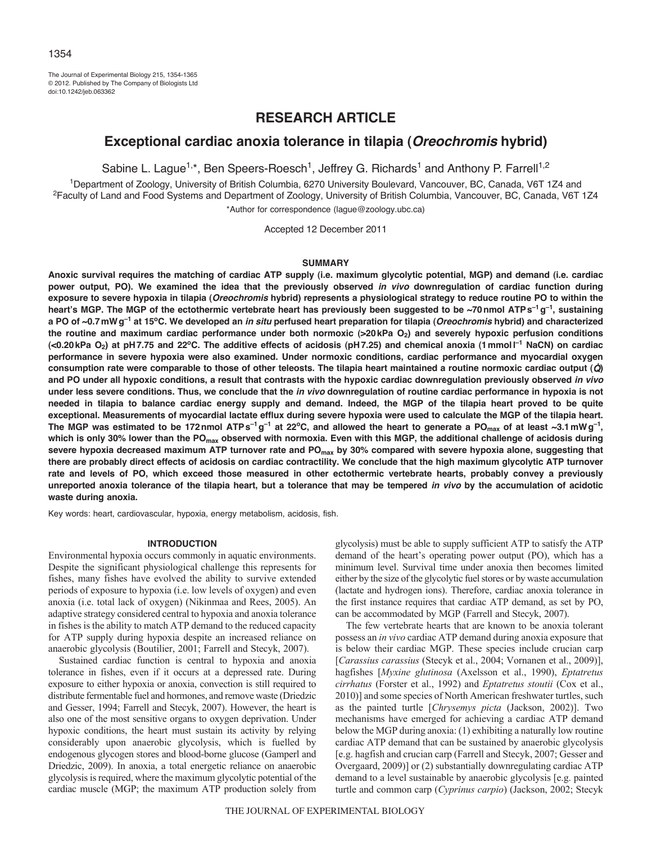The Journal of Experimental Biology 215, 1354-1365 © 2012. Published by The Company of Biologists Ltd doi:10.1242/jeb.063362

# **RESEARCH ARTICLE**

# **Exceptional cardiac anoxia tolerance in tilapia (***Oreochromis* **hybrid)**

Sabine L. Lague<sup>1,\*</sup>, Ben Speers-Roesch<sup>1</sup>, Jeffrey G. Richards<sup>1</sup> and Anthony P. Farrell<sup>1,2</sup>

<sup>1</sup>Department of Zoology, University of British Columbia, 6270 University Boulevard, Vancouver, BC, Canada, V6T 1Z4 and<br><sup>2</sup>Faculty of Land and Food Systems and Department of Zoology, University of British Columbia, Vancouv \*Author for correspondence (lague@zoology.ubc.ca)

Accepted 12 December 2011

#### **SUMMARY**

**Anoxic survival requires the matching of cardiac ATP supply (i.e. maximum glycolytic potential, MGP) and demand (i.e. cardiac power output, PO). We examined the idea that the previously observed** *in vivo* **downregulation of cardiac function during exposure to severe hypoxia in tilapia (***Oreochromis* **hybrid) represents a physiological strategy to reduce routine PO to within the heart's MGP. The MGP of the ectothermic vertebrate heart has previously been suggested to be ~70nmol ATPs–1g–1, sustaining a PO of ~0.7mWg–1 at 15oC. We developed an** *in situ* **perfused heart preparation for tilapia (***Oreochromis* **hybrid) and characterized** the routine and maximum cardiac performance under both normoxic (>20kPa O<sub>2</sub>) and severely hypoxic perfusion conditions **(<0.20kPa O2) at pH7.75 and 22oC. The additive effects of acidosis (pH7.25) and chemical anoxia (1mmoll –1 NaCN) on cardiac performance in severe hypoxia were also examined. Under normoxic conditions, cardiac performance and myocardial oxygen consumption rate were comparable to those of other teleosts. The tilapia heart maintained a routine normoxic cardiac output (**Q**) and PO under all hypoxic conditions, a result that contrasts with the hypoxic cardiac downregulation previously observed** *in vivo* **under less severe conditions. Thus, we conclude that the** *in vivo* **downregulation of routine cardiac performance in hypoxia is not needed in tilapia to balance cardiac energy supply and demand. Indeed, the MGP of the tilapia heart proved to be quite exceptional. Measurements of myocardial lactate efflux during severe hypoxia were used to calculate the MGP of the tilapia heart.** The MGP was estimated to be 172nmol ATPs<sup>-1</sup> g<sup>-1</sup> at 22°C, and allowed the heart to generate a PO<sub>max</sub> of at least ~3.1mWg<sup>-1</sup>, which is only 30% lower than the PO<sub>max</sub> observed with normoxia. Even with this MGP, the additional challenge of acidosis during severe hypoxia decreased maximum ATP turnover rate and PO<sub>max</sub> by 30% compared with severe hypoxia alone, suggesting that **there are probably direct effects of acidosis on cardiac contractility. We conclude that the high maximum glycolytic ATP turnover rate and levels of PO, which exceed those measured in other ectothermic vertebrate hearts, probably convey a previously unreported anoxia tolerance of the tilapia heart, but a tolerance that may be tempered** *in vivo* **by the accumulation of acidotic waste during anoxia.**

Key words: heart, cardiovascular, hypoxia, energy metabolism, acidosis, fish.

## **INTRODUCTION**

Environmental hypoxia occurs commonly in aquatic environments. Despite the significant physiological challenge this represents for fishes, many fishes have evolved the ability to survive extended periods of exposure to hypoxia (i.e. low levels of oxygen) and even anoxia (i.e. total lack of oxygen) (Nikinmaa and Rees, 2005). An adaptive strategy considered central to hypoxia and anoxia tolerance in fishes is the ability to match ATP demand to the reduced capacity for ATP supply during hypoxia despite an increased reliance on anaerobic glycolysis (Boutilier, 2001; Farrell and Stecyk, 2007).

Sustained cardiac function is central to hypoxia and anoxia tolerance in fishes, even if it occurs at a depressed rate. During exposure to either hypoxia or anoxia, convection is still required to distribute fermentable fuel and hormones, and remove waste (Driedzic and Gesser, 1994; Farrell and Stecyk, 2007). However, the heart is also one of the most sensitive organs to oxygen deprivation. Under hypoxic conditions, the heart must sustain its activity by relying considerably upon anaerobic glycolysis, which is fuelled by endogenous glycogen stores and blood-borne glucose (Gamperl and Driedzic, 2009). In anoxia, a total energetic reliance on anaerobic glycolysis is required, where the maximum glycolytic potential of the cardiac muscle (MGP; the maximum ATP production solely from glycolysis) must be able to supply sufficient ATP to satisfy the ATP demand of the heart's operating power output (PO), which has a minimum level. Survival time under anoxia then becomes limited either by the size of the glycolytic fuel stores or by waste accumulation (lactate and hydrogen ions). Therefore, cardiac anoxia tolerance in the first instance requires that cardiac ATP demand, as set by PO, can be accommodated by MGP (Farrell and Stecyk, 2007).

The few vertebrate hearts that are known to be anoxia tolerant possess an *in vivo* cardiac ATP demand during anoxia exposure that is below their cardiac MGP. These species include crucian carp [*Carassius carassius* (Stecyk et al., 2004; Vornanen et al., 2009)], hagfishes [*Myxine glutinosa* (Axelsson et al., 1990), *Eptatretus cirrhatus* (Forster et al., 1992) and *Eptatretus stoutii* (Cox et al., 2010)] and some species of North American freshwater turtles, such as the painted turtle [*Chrysemys picta* (Jackson, 2002)]. Two mechanisms have emerged for achieving a cardiac ATP demand below the MGP during anoxia: (1) exhibiting a naturally low routine cardiac ATP demand that can be sustained by anaerobic glycolysis [e.g. hagfish and crucian carp (Farrell and Stecyk, 2007; Gesser and Overgaard, 2009)] or (2) substantially downregulating cardiac ATP demand to a level sustainable by anaerobic glycolysis [e.g. painted turtle and common carp (*Cyprinus carpio*) (Jackson, 2002; Stecyk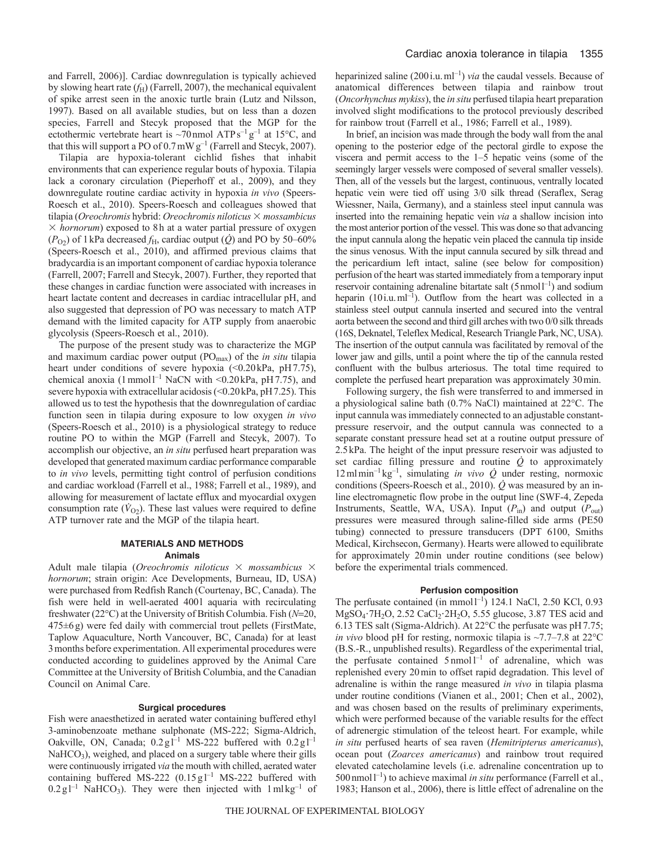and Farrell, 2006)]. Cardiac downregulation is typically achieved by slowing heart rate  $(f_H)$  (Farrell, 2007), the mechanical equivalent of spike arrest seen in the anoxic turtle brain (Lutz and Nilsson, 1997). Based on all available studies, but on less than a dozen species, Farrell and Stecyk proposed that the MGP for the ectothermic vertebrate heart is  $\sim$ 70 nmol ATPs<sup>-1</sup> g<sup>-1</sup> at 15°C, and that this will support a PO of  $0.7 \text{mW g}^{-1}$  (Farrell and Stecyk, 2007).

Tilapia are hypoxia-tolerant cichlid fishes that inhabit environments that can experience regular bouts of hypoxia. Tilapia lack a coronary circulation (Pieperhoff et al., 2009), and they downregulate routine cardiac activity in hypoxia *in vivo* (Speers-Roesch et al., 2010). Speers-Roesch and colleagues showed that tilapia (*Oreochromis* hybrid: *Oreochromis niloticus* - *mossambicus*  $\times$  *hornorum*) exposed to 8h at a water partial pressure of oxygen  $(P<sub>O2</sub>)$  of 1 kPa decreased  $f<sub>H</sub>$ , cardiac output  $(\dot{Q})$  and PO by 50–60% (Speers-Roesch et al., 2010), and affirmed previous claims that bradycardia is an important component of cardiac hypoxia tolerance (Farrell, 2007; Farrell and Stecyk, 2007). Further, they reported that these changes in cardiac function were associated with increases in heart lactate content and decreases in cardiac intracellular pH, and also suggested that depression of PO was necessary to match ATP demand with the limited capacity for ATP supply from anaerobic glycolysis (Speers-Roesch et al., 2010).

The purpose of the present study was to characterize the MGP and maximum cardiac power output (POmax) of the *in situ* tilapia heart under conditions of severe hypoxia (<0.20kPa, pH7.75), chemical anoxia  $(1 \text{ mmol}^{-1} \text{ NaCN with } < 0.20 \text{ kPa}, \text{ pH } 7.75)$ , and severe hypoxia with extracellular acidosis (<0.20 kPa, pH7.25). This allowed us to test the hypothesis that the downregulation of cardiac function seen in tilapia during exposure to low oxygen *in vivo* (Speers-Roesch et al., 2010) is a physiological strategy to reduce routine PO to within the MGP (Farrell and Stecyk, 2007). To accomplish our objective, an *in situ* perfused heart preparation was developed that generated maximum cardiac performance comparable to *in vivo* levels, permitting tight control of perfusion conditions and cardiac workload (Farrell et al., 1988; Farrell et al., 1989), and allowing for measurement of lactate efflux and myocardial oxygen consumption rate  $(\dot{V}_{O2})$ . These last values were required to define ATP turnover rate and the MGP of the tilapia heart.

## **MATERIALS AND METHODS Animals**

Adult male tilapia (Oreochromis niloticus  $\times$  mossambicus  $\times$ *hornorum*; strain origin: Ace Developments, Burneau, ID, USA) were purchased from Redfish Ranch (Courtenay, BC, Canada). The fish were held in well-aerated 400l aquaria with recirculating freshwater (22°C) at the University of British Columbia. Fish (*N*=20, 475±6g) were fed daily with commercial trout pellets (FirstMate, Taplow Aquaculture, North Vancouver, BC, Canada) for at least 3months before experimentation. All experimental procedures were conducted according to guidelines approved by the Animal Care Committee at the University of British Columbia, and the Canadian Council on Animal Care.

## **Surgical procedures**

Fish were anaesthetized in aerated water containing buffered ethyl 3-aminobenzoate methane sulphonate (MS-222; Sigma-Aldrich, Oakville, ON, Canada;  $0.2 \text{ g}$ <sup>1-1</sup> MS-222 buffered with  $0.2 \text{ g}$ 1<sup>-1</sup> NaHCO<sub>3</sub>), weighed, and placed on a surgery table where their gills were continuously irrigated *via* the mouth with chilled, aerated water containing buffered MS-222  $(0.15 \text{ g})^{-1}$  MS-222 buffered with  $0.2 \text{ g}$ l<sup>-1</sup> NaHCO<sub>3</sub>). They were then injected with  $1 \text{ m} \text{ kg}^{-1}$  of heparinized saline  $(200i.u.m<sup>1</sup>)$  *via* the caudal vessels. Because of anatomical differences between tilapia and rainbow trout (*Oncorhynchus mykiss*), the *in situ* perfused tilapia heart preparation involved slight modifications to the protocol previously described for rainbow trout (Farrell et al., 1986; Farrell et al., 1989).

In brief, an incision was made through the body wall from the anal opening to the posterior edge of the pectoral girdle to expose the viscera and permit access to the 1–5 hepatic veins (some of the seemingly larger vessels were composed of several smaller vessels). Then, all of the vessels but the largest, continuous, ventrally located hepatic vein were tied off using 3/0 silk thread (Seraflex, Serag Wiessner, Naila, Germany), and a stainless steel input cannula was inserted into the remaining hepatic vein *via* a shallow incision into the most anterior portion of the vessel. This was done so that advancing the input cannula along the hepatic vein placed the cannula tip inside the sinus venosus. With the input cannula secured by silk thread and the pericardium left intact, saline (see below for composition) perfusion of the heart was started immediately from a temporary input reservoir containing adrenaline bitartate salt  $(5 \text{ nmol}^{-1})$  and sodium heparin  $(10i.u.m<sup>-1</sup>)$ . Outflow from the heart was collected in a stainless steel output cannula inserted and secured into the ventral aorta between the second and third gill arches with two 0/0 silk threads (16S, Deknatel, Teleflex Medical, Research Triangle Park, NC, USA). The insertion of the output cannula was facilitated by removal of the lower jaw and gills, until a point where the tip of the cannula rested confluent with the bulbus arteriosus. The total time required to complete the perfused heart preparation was approximately 30min.

Following surgery, the fish were transferred to and immersed in a physiological saline bath (0.7% NaCl) maintained at 22°C. The input cannula was immediately connected to an adjustable constantpressure reservoir, and the output cannula was connected to a separate constant pressure head set at a routine output pressure of 2.5kPa. The height of the input pressure reservoir was adjusted to set cardiac filling pressure and routine  $\dot{Q}$  to approximately  $12 \text{ m1} \text{ min}^{-1} \text{ kg}^{-1}$ , simulating *in vivo*  $\dot{Q}$  under resting, normoxic conditions (Speers-Roesch et al., 2010). *Q* was measured by an inline electromagnetic flow probe in the output line (SWF-4, Zepeda Instruments, Seattle, WA, USA). Input ( $P_{\text{in}}$ ) and output ( $P_{\text{out}}$ ) pressures were measured through saline-filled side arms (PE50 tubing) connected to pressure transducers (DPT 6100, Smiths Medical, Kirchsecon, Germany). Hearts were allowed to equilibrate for approximately 20min under routine conditions (see below) before the experimental trials commenced.

## **Perfusion composition**

The perfusate contained (in mmol<sup>1-1</sup>) 124.1 NaCl, 2.50 KCl, 0.93  $MgSO_4$ <sup>2</sup>H<sub>2</sub>O, 2.52 CaCl<sub>2</sub><sup>2</sup>H<sub>2</sub>O, 5.55 glucose, 3.87 TES acid and 6.13 TES salt (Sigma-Aldrich). At 22°C the perfusate was pH7.75; *in vivo* blood pH for resting, normoxic tilapia is  $\sim$ 7.7–7.8 at 22 $^{\circ}$ C (B.S.-R., unpublished results). Regardless of the experimental trial, the perfusate contained  $5 \text{ nmol} 1^{-1}$  of adrenaline, which was replenished every 20min to offset rapid degradation. This level of adrenaline is within the range measured *in vivo* in tilapia plasma under routine conditions (Vianen et al., 2001; Chen et al., 2002), and was chosen based on the results of preliminary experiments, which were performed because of the variable results for the effect of adrenergic stimulation of the teleost heart. For example, while *in situ* perfused hearts of sea raven (*Hemitripterus americanus*), ocean pout (*Zoarces americanus*) and rainbow trout required elevated catecholamine levels (i.e. adrenaline concentration up to  $500$  nmol  $l^{-1}$ ) to achieve maximal *in situ* performance (Farrell et al., 1983; Hanson et al., 2006), there is little effect of adrenaline on the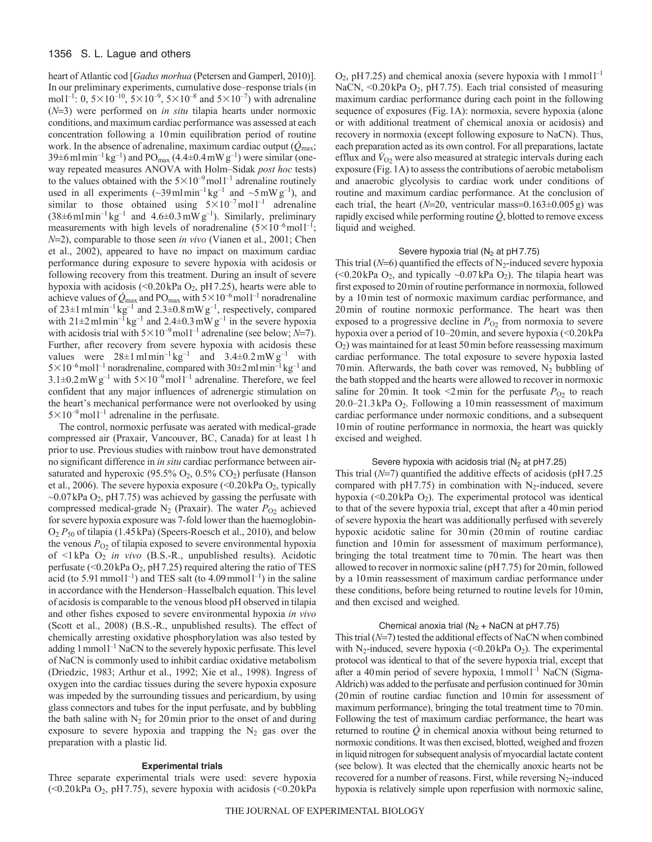## 1356 S. L. Lague and others

heart of Atlantic cod [*Gadus morhua* (Petersen and Gamperl, 2010)]. In our preliminary experiments, cumulative dose–response trials (in moll<sup>-1</sup>: 0,  $5 \times 10^{-10}$ ,  $5 \times 10^{-9}$ ,  $5 \times 10^{-8}$  and  $5 \times 10^{-7}$ ) with adrenaline  $(N=3)$  were performed on *in situ* tilapia hearts under normoxic conditions, and maximum cardiac performance was assessed at each concentration following a 10min equilibration period of routine work. In the absence of adrenaline, maximum cardiac output (*Q*max; 39 $\pm$ 6 ml min<sup>-1</sup> kg<sup>-1</sup>) and PO<sub>max</sub> (4.4 $\pm$ 0.4 mW g<sup>-1</sup>) were similar (oneway repeated measures ANOVA with Holm–Sidak *post hoc* tests) to the values obtained with the  $5 \times 10^{-9}$  moll<sup>-1</sup> adrenaline routinely used in all experiments  $({}_{-}39\,\text{ml}\,\text{min}^{-1}\,\text{kg}^{-1}$  and  $~_{-}5\,\text{mW}\,\text{g}^{-1}$ ), and similar to those obtained using  $5 \times 10^{-7}$  moll<sup>-1</sup> adrenaline  $(38\pm6 \text{ ml min}^{-1} \text{ kg}^{-1}$  and  $4.6\pm0.3 \text{ mW g}^{-1}$ ). Similarly, preliminary measurements with high levels of noradrenaline  $(5 \times 10^{-6} \text{mol})^{-1}$ ; *N*2), comparable to those seen *in vivo* (Vianen et al., 2001; Chen et al., 2002), appeared to have no impact on maximum cardiac performance during exposure to severe hypoxia with acidosis or following recovery from this treatment. During an insult of severe hypoxia with acidosis (< $0.20$  kPa  $O_2$ , pH 7.25), hearts were able to achieve values of  $\dot{Q}_{\text{max}}$  and PO<sub>max</sub> with  $5 \times 10^{-6}$  moll<sup>-1</sup> noradrenaline of  $23 \pm 1$  ml min<sup>-1</sup> kg<sup>-1</sup> and  $2.3 \pm 0.8$  mW g<sup>-1</sup>, respectively, compared with  $21 \pm 2$  ml min<sup>-1</sup> kg<sup>-1</sup> and  $2.4 \pm 0.3$  mW g<sup>-1</sup> in the severe hypoxia with acidosis trial with  $5 \times 10^{-9}$  mol<sup>1-1</sup> adrenaline (see below; *N*=7). Further, after recovery from severe hypoxia with acidosis these values were  $28\pm1$  ml min<sup>-1</sup> kg<sup>-1</sup> and  $3.4\pm0.2$  mW g<sup>-1</sup> with  $5 \times 10^{-6}$  moll<sup>-1</sup> noradrenaline, compared with  $30 \pm 2$  mlmin<sup>-1</sup> kg<sup>-1</sup> and  $3.1\pm0.2$  mW g<sup>-1</sup> with  $5\times10^{-9}$  mol  $l^{-1}$  adrenaline. Therefore, we feel confident that any major influences of adrenergic stimulation on the heart's mechanical performance were not overlooked by using  $5 \times 10^{-9}$  mol<sup>1-1</sup> adrenaline in the perfusate.

The control, normoxic perfusate was aerated with medical-grade compressed air (Praxair, Vancouver, BC, Canada) for at least 1h prior to use. Previous studies with rainbow trout have demonstrated no significant difference in *in situ* cardiac performance between airsaturated and hyperoxic (95.5%  $O_2$ , 0.5%  $CO_2$ ) perfusate (Hanson et al., 2006). The severe hypoxia exposure  $\ll 0.20$  kPa  $O_2$ , typically  $\sim$ 0.07kPa O<sub>2</sub>, pH 7.75) was achieved by gassing the perfusate with compressed medical-grade  $N_2$  (Praxair). The water  $P_{O2}$  achieved for severe hypoxia exposure was 7-fold lower than the haemoglobin-O2 *P*<sup>50</sup> of tilapia (1.45kPa) (Speers-Roesch et al., 2010), and below the venous  $P_{O2}$  of tilapia exposed to severe environmental hypoxia of <1 kPa O2 *in vivo* (B.S.-R., unpublished results). Acidotic perfusate (< $0.20$  kPa  $O_2$ , pH 7.25) required altering the ratio of TES acid (to 5.91 mmol  $1^{-1}$ ) and TES salt (to 4.09 mmol  $1^{-1}$ ) in the saline in accordance with the Henderson–Hasselbalch equation. This level of acidosis is comparable to the venous blood pH observed in tilapia and other fishes exposed to severe environmental hypoxia *in vivo* (Scott et al., 2008) (B.S.-R., unpublished results). The effect of chemically arresting oxidative phosphorylation was also tested by adding  $1$  mmol  $1^{-1}$  NaCN to the severely hypoxic perfusate. This level of NaCN is commonly used to inhibit cardiac oxidative metabolism (Driedzic, 1983; Arthur et al., 1992; Xie et al., 1998). Ingress of oxygen into the cardiac tissues during the severe hypoxia exposure was impeded by the surrounding tissues and pericardium, by using glass connectors and tubes for the input perfusate, and by bubbling the bath saline with  $N_2$  for 20 min prior to the onset of and during exposure to severe hypoxia and trapping the  $N_2$  gas over the preparation with a plastic lid.

## **Experimental trials**

Three separate experimental trials were used: severe hypoxia (<0.20kPa  $O_2$ , pH 7.75), severe hypoxia with acidosis (<0.20kPa

 $O_2$ , pH 7.25) and chemical anoxia (severe hypoxia with 1 mmol<sup>1-1</sup> NaCN, <0.20kPa O<sub>2</sub>, pH 7.75). Each trial consisted of measuring maximum cardiac performance during each point in the following sequence of exposures (Fig.1A): normoxia, severe hypoxia (alone or with additional treatment of chemical anoxia or acidosis) and recovery in normoxia (except following exposure to NaCN). Thus, each preparation acted as its own control. For all preparations, lactate efflux and  $\dot{V}_{O2}$  were also measured at strategic intervals during each exposure (Fig.1A) to assess the contributions of aerobic metabolism and anaerobic glycolysis to cardiac work under conditions of routine and maximum cardiac performance. At the conclusion of each trial, the heart  $(N=20)$ , ventricular mass= $0.163\pm0.005$  g) was rapidly excised while performing routine  $\dot{Q}$ , blotted to remove excess liquid and weighed.

#### Severe hypoxia trial ( $N_2$  at pH7.75)

This trial ( $N=6$ ) quantified the effects of  $N_2$ -induced severe hypoxia (<0.20 kPa  $O_2$ , and typically ~0.07 kPa  $O_2$ ). The tilapia heart was first exposed to 20min of routine performance in normoxia, followed by a 10min test of normoxic maximum cardiac performance, and 20min of routine normoxic performance. The heart was then exposed to a progressive decline in  $P_{O_2}$  from normoxia to severe hypoxia over a period of 10–20min, and severe hypoxia (<0.20kPa O2) was maintained for at least 50min before reassessing maximum cardiac performance. The total exposure to severe hypoxia lasted 70 min. Afterwards, the bath cover was removed,  $N_2$  bubbling of the bath stopped and the hearts were allowed to recover in normoxic saline for 20 min. It took  $\leq$ 2 min for the perfusate  $P_{O_2}$  to reach 20.0–21.3 kPa  $O_2$ . Following a 10 min reassessment of maximum cardiac performance under normoxic conditions, and a subsequent 10min of routine performance in normoxia, the heart was quickly excised and weighed.

## Severe hypoxia with acidosis trial ( $N_2$  at pH7.25)

This trial  $(N=7)$  quantified the additive effects of acidosis ( $pH7.25$ compared with  $pH7.75$ ) in combination with N<sub>2</sub>-induced, severe hypoxia  $\left($ <0.20kPa O<sub>2</sub>). The experimental protocol was identical to that of the severe hypoxia trial, except that after a 40min period of severe hypoxia the heart was additionally perfused with severely hypoxic acidotic saline for 30min (20min of routine cardiac function and 10 min for assessment of maximum performance), bringing the total treatment time to 70min. The heart was then allowed to recover in normoxic saline (pH7.75) for 20min, followed by a 10min reassessment of maximum cardiac performance under these conditions, before being returned to routine levels for 10min, and then excised and weighed.

## Chemical anoxia trial  $(N_2 + NaCN$  at pH7.75)

This trial  $(N=7)$  tested the additional effects of NaCN when combined with N<sub>2</sub>-induced, severe hypoxia (<0.20kPa  $O_2$ ). The experimental protocol was identical to that of the severe hypoxia trial, except that after a 40 min period of severe hypoxia,  $1$  mmol $1^{-1}$  NaCN (Sigma-Aldrich) was added to the perfusate and perfusion continued for 30min (20min of routine cardiac function and 10min for assessment of maximum performance), bringing the total treatment time to 70min. Following the test of maximum cardiac performance, the heart was returned to routine *Q* in chemical anoxia without being returned to normoxic conditions. It was then excised, blotted, weighed and frozen in liquid nitrogen for subsequent analysis of myocardial lactate content (see below). It was elected that the chemically anoxic hearts not be recovered for a number of reasons. First, while reversing N<sub>2</sub>-induced hypoxia is relatively simple upon reperfusion with normoxic saline,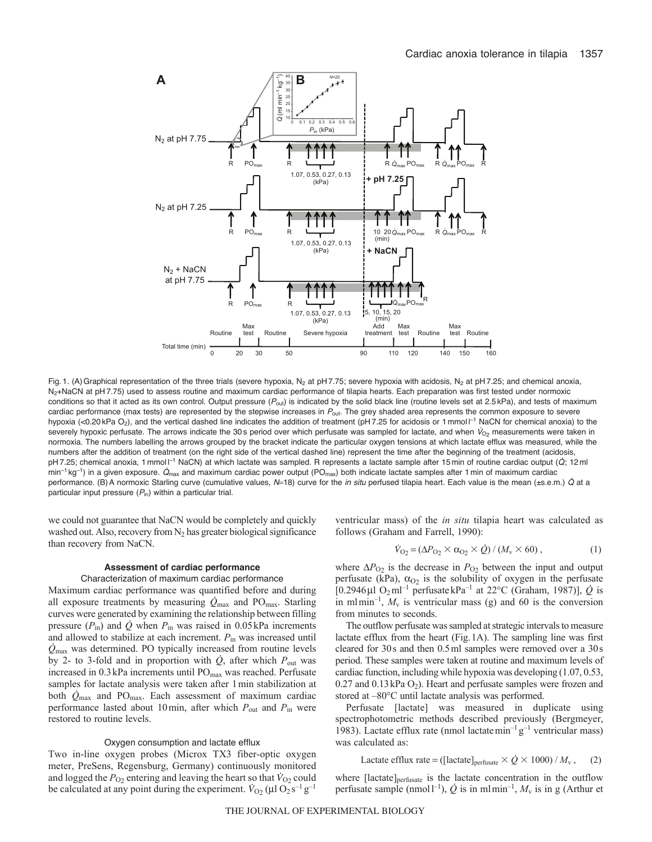

Fig. 1. (A) Graphical representation of the three trials (severe hypoxia, N<sub>2</sub> at pH 7.75; severe hypoxia with acidosis, N<sub>2</sub> at pH 7.25; and chemical anoxia, N<sub>2</sub>+NaCN at pH7.75) used to assess routine and maximum cardiac performance of tilapia hearts. Each preparation was first tested under normoxic conditions so that it acted as its own control. Output pressure (P<sub>out</sub>) is indicated by the solid black line (routine levels set at 2.5 kPa), and tests of maximum cardiac performance (max tests) are represented by the stepwise increases in P<sub>out</sub>. The grey shaded area represents the common exposure to severe hypoxia (<0.20 kPa O<sub>2</sub>), and the vertical dashed line indicates the addition of treatment (pH 7.25 for acidosis or 1 mmol I<sup>-1</sup> NaCN for chemical anoxia) to the severely hypoxic perfusate. The arrows indicate the 30 s period over which perfusate was sampled for lactate, and when  $V_{O_2}$  measurements were taken in normoxia. The numbers labelling the arrows grouped by the bracket indicate the particular oxygen tensions at which lactate efflux was measured, while the numbers after the addition of treatment (on the right side of the vertical dashed line) represent the time after the beginning of the treatment (acidosis, pH 7.25; chemical anoxia, 1 mmol l<sup>-1</sup> NaCN) at which lactate was sampled. R represents a lactate sample after 15 min of routine cardiac output (Q; 12 ml  $min^{-1}$  kg<sup>-1</sup>) in a given exposure.  $\dot{Q}_{max}$  and maximum cardiac power output (PO<sub>max</sub>) both indicate lactate samples after 1 min of maximum cardiac performance. (B)A normoxic Starling curve (cumulative values, *N*18) curve for the *in situ* perfused tilapia heart. Each value is the mean (±s.e.m.) Q at a particular input pressure (P<sub>in</sub>) within a particular trial.

we could not guarantee that NaCN would be completely and quickly washed out. Also, recovery from  $N_2$  has greater biological significance than recovery from NaCN.

#### **Assessment of cardiac performance**

### Characterization of maximum cardiac performance

Maximum cardiac performance was quantified before and during all exposure treatments by measuring  $\dot{Q}_{\text{max}}$  and PO<sub>max</sub>. Starling curves were generated by examining the relationship between filling pressure  $(P_{in})$  and  $\dot{Q}$  when  $P_{in}$  was raised in 0.05 kPa increments and allowed to stabilize at each increment. *P*in was increased until *Q*max was determined. PO typically increased from routine levels by 2- to 3-fold and in proportion with  $\dot{Q}$ , after which  $P_{\text{out}}$  was increased in 0.3kPa increments until POmax was reached. Perfusate samples for lactate analysis were taken after 1min stabilization at both *Q*max and POmax. Each assessment of maximum cardiac performance lasted about 10min, after which *P*out and *P*in were restored to routine levels.

#### Oxygen consumption and lactate efflux

Two in-line oxygen probes (Microx TX3 fiber-optic oxygen meter, PreSens, Regensburg, Germany) continuously monitored and logged the  $P_{O_2}$  entering and leaving the heart so that  $\dot{V}_{O_2}$  could be calculated at any point during the experiment.  $\dot{V}_{O2}$  ( $\mu$ l O<sub>2</sub> s<sup>-1</sup> g<sup>-1</sup> ventricular mass) of the *in situ* tilapia heart was calculated as follows (Graham and Farrell, 1990):

$$
\dot{V}_{O_2} = (\Delta P_{O_2} \times \alpha_{O_2} \times \dot{Q}) / (M_{\rm v} \times 60) , \qquad (1)
$$

where  $\Delta P_{O2}$  is the decrease in  $P_{O2}$  between the input and output perfusate (kPa),  $\alpha_{02}$  is the solubility of oxygen in the perfusate [0.2946µl O<sub>2</sub>ml<sup>-1</sup> perfusatekPa<sup>-1</sup> at 22°C (Graham, 1987)],  $\dot{Q}$  is in mlmin<sup>-1</sup>,  $M_v$  is ventricular mass (g) and 60 is the conversion from minutes to seconds.

The outflow perfusate was sampled at strategic intervals to measure lactate efflux from the heart (Fig.1A). The sampling line was first cleared for 30s and then 0.5ml samples were removed over a 30s period. These samples were taken at routine and maximum levels of cardiac function, including while hypoxia was developing (1.07, 0.53,  $0.27$  and  $0.13$  kPa  $O_2$ ). Heart and perfusate samples were frozen and stored at –80°C until lactate analysis was performed.

Perfusate [lactate] was measured in duplicate using spectrophotometric methods described previously (Bergmeyer, 1983). Lactate efflux rate (nmol lactate min<sup>-1</sup> g<sup>-1</sup> ventricular mass) was calculated as:

Lactate efflux rate = ([lactate]<sub>perfusate</sub> 
$$
\times \dot{Q} \times 1000
$$
) /  $M_v$ , (2)

where [lactate]<sub>perfusate</sub> is the lactate concentration in the outflow perfusate sample (nmoll<sup>-1</sup>),  $\dot{Q}$  is in mlmin<sup>-1</sup>,  $M_{\rm v}$  is in g (Arthur et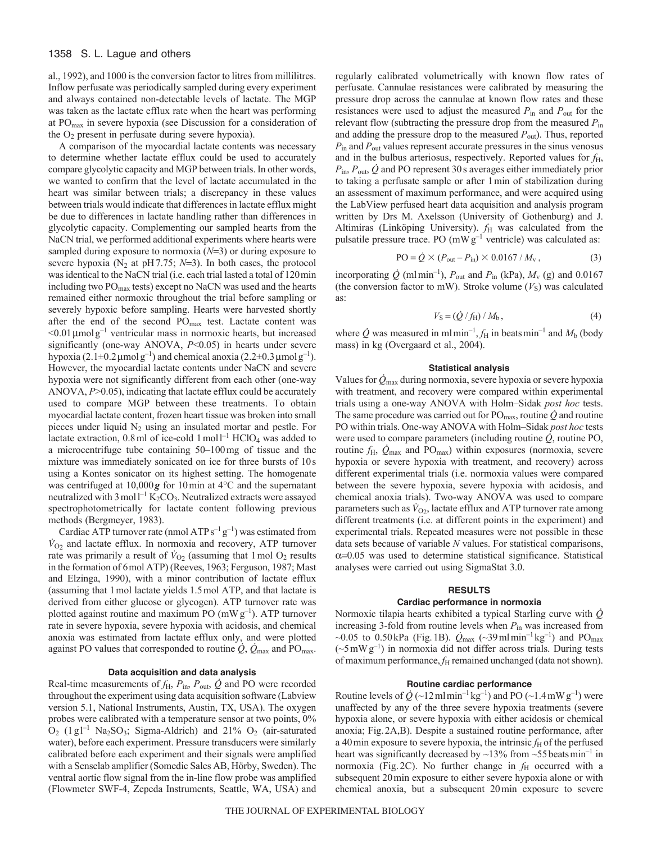## 1358 S. L. Lague and others

al., 1992), and 1000 is the conversion factor to litres from millilitres. Inflow perfusate was periodically sampled during every experiment and always contained non-detectable levels of lactate. The MGP was taken as the lactate efflux rate when the heart was performing at  $PO<sub>max</sub>$  in severe hypoxia (see Discussion for a consideration of the  $O<sub>2</sub>$  present in perfusate during severe hypoxia).

A comparison of the myocardial lactate contents was necessary to determine whether lactate efflux could be used to accurately compare glycolytic capacity and MGP between trials. In other words, we wanted to confirm that the level of lactate accumulated in the heart was similar between trials; a discrepancy in these values between trials would indicate that differences in lactate efflux might be due to differences in lactate handling rather than differences in glycolytic capacity. Complementing our sampled hearts from the NaCN trial, we performed additional experiments where hearts were sampled during exposure to normoxia  $(N=3)$  or during exposure to severe hypoxia ( $N_2$  at pH7.75;  $N=3$ ). In both cases, the protocol was identical to the NaCN trial (i.e. each trial lasted a total of 120min including two POmax tests) except no NaCN was used and the hearts remained either normoxic throughout the trial before sampling or severely hypoxic before sampling. Hearts were harvested shortly after the end of the second POmax test. Lactate content was  $\leq 0.01$  µmolg<sup>-1</sup> ventricular mass in normoxic hearts, but increased significantly (one-way ANOVA, *P*<0.05) in hearts under severe hypoxia (2.1 $\pm$ 0.2 µmolg<sup>-1</sup>) and chemical anoxia (2.2 $\pm$ 0.3 µmolg<sup>-1</sup>). However, the myocardial lactate contents under NaCN and severe hypoxia were not significantly different from each other (one-way ANOVA, *P*>0.05), indicating that lactate efflux could be accurately used to compare MGP between these treatments. To obtain myocardial lactate content, frozen heart tissue was broken into small pieces under liquid  $N_2$  using an insulated mortar and pestle. For lactate extraction,  $0.8$  ml of ice-cold  $1 \text{ mol}^{-1}$  HClO<sub>4</sub> was added to a microcentrifuge tube containing 50–100mg of tissue and the mixture was immediately sonicated on ice for three bursts of 10s using a Kontes sonicator on its highest setting. The homogenate was centrifuged at 10,000*g* for 10min at 4°C and the supernatant neutralized with  $3 \text{ mol}^{-1} \text{K}_2\text{CO}_3$ . Neutralized extracts were assayed spectrophotometrically for lactate content following previous methods (Bergmeyer, 1983).

Cardiac ATP turnover rate (nmol ATP  $s^{-1}g^{-1}$ ) was estimated from  $\dot{V}_{O2}$  and lactate efflux. In normoxia and recovery, ATP turnover rate was primarily a result of  $\dot{V}_{O_2}$  (assuming that 1 mol  $O_2$  results in the formation of 6mol ATP) (Reeves, 1963; Ferguson, 1987; Mast and Elzinga, 1990), with a minor contribution of lactate efflux (assuming that 1mol lactate yields 1.5mol ATP, and that lactate is derived from either glucose or glycogen). ATP turnover rate was plotted against routine and maximum PO  $(mWg^{-1})$ . ATP turnover rate in severe hypoxia, severe hypoxia with acidosis, and chemical anoxia was estimated from lactate efflux only, and were plotted against PO values that corresponded to routine  $\dot{Q}$ ,  $\dot{Q}_{\text{max}}$  and PO<sub>max</sub>.

## **Data acquisition and data analysis**

Real-time measurements of  $f_H$ ,  $P_{\text{in}}$ ,  $P_{\text{out}}$ ,  $\dot{Q}$  and PO were recorded throughout the experiment using data acquisition software (Labview version 5.1, National Instruments, Austin, TX, USA). The oxygen probes were calibrated with a temperature sensor at two points, 0%  $O_2$  (1 g l<sup>-1</sup> Na<sub>2</sub>SO<sub>3</sub>; Sigma-Aldrich) and 21%  $O_2$  (air-saturated water), before each experiment. Pressure transducers were similarly calibrated before each experiment and their signals were amplified with a Senselab amplifier (Somedic Sales AB, Hörby, Sweden). The ventral aortic flow signal from the in-line flow probe was amplified (Flowmeter SWF-4, Zepeda Instruments, Seattle, WA, USA) and regularly calibrated volumetrically with known flow rates of perfusate. Cannulae resistances were calibrated by measuring the pressure drop across the cannulae at known flow rates and these resistances were used to adjust the measured *P*in and *P*out for the relevant flow (subtracting the pressure drop from the measured *P*in and adding the pressure drop to the measured *P*out). Thus, reported *P*in and *P*out values represent accurate pressures in the sinus venosus and in the bulbus arteriosus, respectively. Reported values for  $f_H$ ,  $P_{\text{in}}$ ,  $P_{\text{out}}$ ,  $\dot{Q}$  and PO represent 30s averages either immediately prior to taking a perfusate sample or after 1min of stabilization during an assessment of maximum performance, and were acquired using the LabView perfused heart data acquisition and analysis program written by Drs M. Axelsson (University of Gothenburg) and J. Altimiras (Linköping University).  $f_H$  was calculated from the pulsatile pressure trace. PO  $(mWg^{-1}$  ventricle) was calculated as:

$$
PO = \dot{Q} \times (P_{\text{out}} - P_{\text{in}}) \times 0.0167 / M_{\text{v}} , \qquad (3)
$$

incorporating  $\dot{Q}$  (mlmin<sup>-1</sup>),  $P_{\text{out}}$  and  $P_{\text{in}}$  (kPa),  $M_{\text{v}}$  (g) and 0.0167 (the conversion factor to mW). Stroke volume  $(V<sub>S</sub>)$  was calculated as:

$$
V_{\rm S} = (\dot{Q}/f_{\rm H})/M_{\rm b},\tag{4}
$$

where  $\dot{Q}$  was measured in mlmin<sup>-1</sup>,  $f_H$  in beats min<sup>-1</sup> and  $M_b$  (body mass) in kg (Overgaard et al., 2004).

## **Statistical analysis**

Values for *Q*max during normoxia, severe hypoxia or severe hypoxia with treatment, and recovery were compared within experimental trials using a one-way ANOVA with Holm–Sidak *post hoc* tests. The same procedure was carried out for  $PO_{max}$ , routine  $\dot{Q}$  and routine PO within trials. One-way ANOVA with Holm–Sidak *post hoc* tests were used to compare parameters (including routine *Q*, routine PO, routine  $f_{\rm H}$ ,  $Q_{\rm max}$  and  $P_{\rm max}$ ) within exposures (normoxia, severe hypoxia or severe hypoxia with treatment, and recovery) across different experimental trials (i.e. normoxia values were compared between the severe hypoxia, severe hypoxia with acidosis, and chemical anoxia trials). Two-way ANOVA was used to compare parameters such as  $\dot{V}_{O2}$ , lactate efflux and ATP turnover rate among different treatments (i.e. at different points in the experiment) and experimental trials. Repeated measures were not possible in these data sets because of variable *N* values. For statistical comparisons,  $\alpha$ =0.05 was used to determine statistical significance. Statistical analyses were carried out using SigmaStat 3.0.

## **RESULTS**

## **Cardiac performance in normoxia**

Normoxic tilapia hearts exhibited a typical Starling curve with *Q* increasing 3-fold from routine levels when *P*in was increased from ~0.05 to 0.50kPa (Fig. 1B).  $\dot{Q}_{\text{max}}$  (~39 ml min<sup>-1</sup> kg<sup>-1</sup>) and PO<sub>max</sub>  $({\sim}5 \text{ mW g}^{-1})$  in normoxia did not differ across trials. During tests of maximum performance,  $f_H$  remained unchanged (data not shown).

#### **Routine cardiac performance**

Routine levels of  $\dot{Q}$  (~12 ml min<sup>-1</sup> kg<sup>-1</sup>) and PO (~1.4 mW g<sup>-1</sup>) were unaffected by any of the three severe hypoxia treatments (severe hypoxia alone, or severe hypoxia with either acidosis or chemical anoxia; Fig.2A,B). Despite a sustained routine performance, after a 40 min exposure to severe hypoxia, the intrinsic  $f<sub>H</sub>$  of the perfused heart was significantly decreased by  $\sim$ 13% from  $\sim$ 55 beatsmin<sup>-1</sup> in normoxia (Fig. 2C). No further change in  $f<sub>H</sub>$  occurred with a subsequent 20min exposure to either severe hypoxia alone or with chemical anoxia, but a subsequent 20min exposure to severe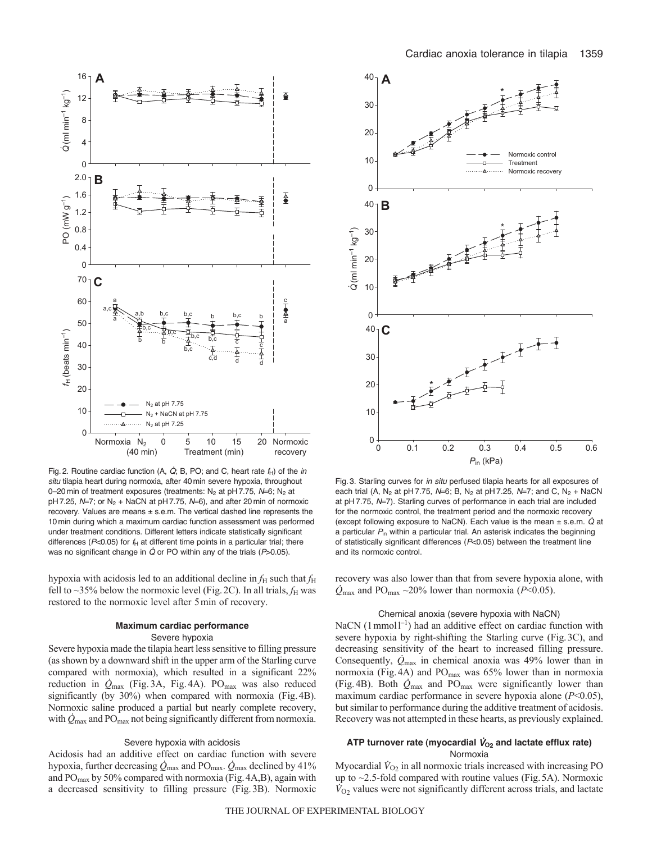

Fig. 2. Routine cardiac function (A,  $\dot{Q}$ ; B, PO; and C, heart rate  $f_H$ ) of the *in situ* tilapia heart during normoxia, after 40 min severe hypoxia, throughout 0-20 min of treatment exposures (treatments: N<sub>2</sub> at pH 7.75, N=6; N<sub>2</sub> at pH7.25, N=7; or N<sub>2</sub> + NaCN at pH7.75, N=6), and after 20 min of normoxic recovery. Values are means  $\pm$  s.e.m. The vertical dashed line represents the 10min during which a maximum cardiac function assessment was performed under treatment conditions. Different letters indicate statistically significant differences ( $P<0.05$ ) for  $f_H$  at different time points in a particular trial; there was no significant change in  $\dot{Q}$  or PO within any of the trials (P>0.05).

hypoxia with acidosis led to an additional decline in  $f_{\rm H}$  such that  $f_{\rm H}$ fell to  $\sim$ 35% below the normoxic level (Fig. 2C). In all trials,  $f_H$  was restored to the normoxic level after 5min of recovery.

## **Maximum cardiac performance** Severe hypoxia

Severe hypoxia made the tilapia heart less sensitive to filling pressure (as shown by a downward shift in the upper arm of the Starling curve compared with normoxia), which resulted in a significant 22% reduction in  $\dot{Q}_{\text{max}}$  (Fig. 3A, Fig. 4A). PO<sub>max</sub> was also reduced significantly (by 30%) when compared with normoxia (Fig.4B). Normoxic saline produced a partial but nearly complete recovery, with  $\dot{Q}_{\text{max}}$  and PO<sub>max</sub> not being significantly different from normoxia.

#### Severe hypoxia with acidosis

Acidosis had an additive effect on cardiac function with severe hypoxia, further decreasing  $\dot{Q}_{\text{max}}$  and PO<sub>max</sub>.  $\dot{Q}_{\text{max}}$  declined by 41% and PO<sub>max</sub> by 50% compared with normoxia (Fig. 4A,B), again with a decreased sensitivity to filling pressure (Fig.3B). Normoxic



Fig. 3. Starling curves for *in situ* perfused tilapia hearts for all exposures of each trial (A, N<sub>2</sub> at pH 7.75, N=6; B, N<sub>2</sub> at pH 7.25, N=7; and C, N<sub>2</sub> + NaCN at pH 7.75, N=7). Starling curves of performance in each trial are included for the normoxic control, the treatment period and the normoxic recovery (except following exposure to NaCN). Each value is the mean  $\pm$  s.e.m.  $\dot{Q}$  at a particular *P*in within a particular trial. An asterisk indicates the beginning of statistically significant differences (*P*<0.05) between the treatment line and its normoxic control.

recovery was also lower than that from severe hypoxia alone, with  $Q_{\text{max}}$  and PO<sub>max</sub> ~20% lower than normoxia (*P*<0.05).

#### Chemical anoxia (severe hypoxia with NaCN)

NaCN (1 mmol<sup>1-1</sup>) had an additive effect on cardiac function with severe hypoxia by right-shifting the Starling curve (Fig.3C), and decreasing sensitivity of the heart to increased filling pressure. Consequently,  $Q_{\text{max}}$  in chemical anoxia was 49% lower than in normoxia (Fig.4A) and POmax was 65% lower than in normoxia (Fig. 4B). Both  $\dot{Q}_{\text{max}}$  and PO<sub>max</sub> were significantly lower than maximum cardiac performance in severe hypoxia alone (*P*<0.05), but similar to performance during the additive treatment of acidosis. Recovery was not attempted in these hearts, as previously explained.

# ATP turnover rate (myocardial  $\dot{V}_{O_2}$  and lactate efflux rate) Normoxia

Myocardial  $\dot{V}_{O_2}$  in all normoxic trials increased with increasing PO up to ~2.5-fold compared with routine values (Fig.5A). Normoxic  $\dot{V}_{O2}$  values were not significantly different across trials, and lactate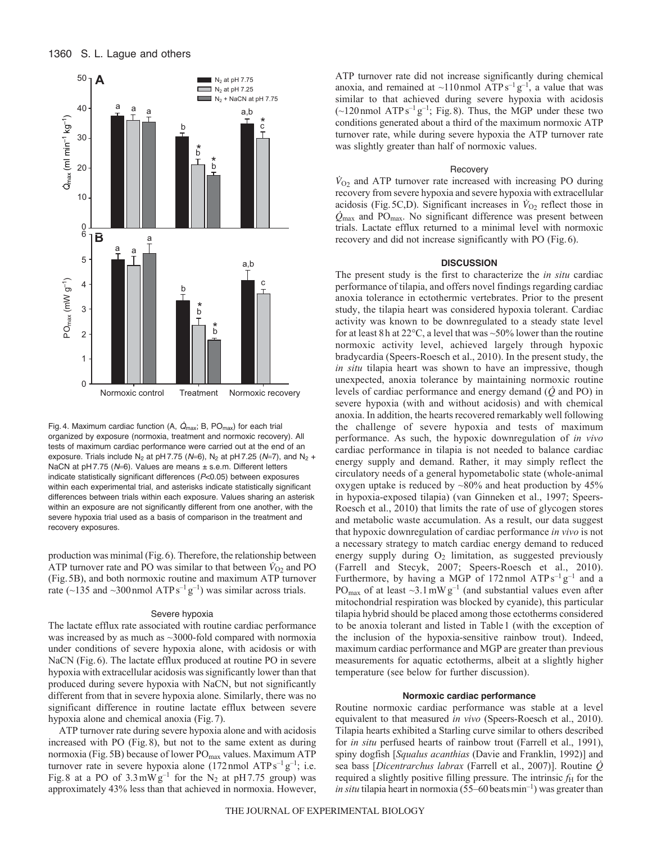## 1360 S. L. Lague and others



Fig. 4. Maximum cardiac function (A,  $\dot{Q}_{\text{max}}$ ; B, PO<sub>max</sub>) for each trial organized by exposure (normoxia, treatment and normoxic recovery). All tests of maximum cardiac performance were carried out at the end of an exposure. Trials include N<sub>2</sub> at pH 7.75 ( $N=6$ ), N<sub>2</sub> at pH 7.25 ( $N=7$ ), and N<sub>2</sub> + NaCN at pH 7.75 (N=6). Values are means ± s.e.m. Different letters indicate statistically significant differences (*P*<0.05) between exposures within each experimental trial, and asterisks indicate statistically significant differences between trials within each exposure. Values sharing an asterisk within an exposure are not significantly different from one another, with the severe hypoxia trial used as a basis of comparison in the treatment and recovery exposures.

production was minimal (Fig.6). Therefore, the relationship between ATP turnover rate and PO was similar to that between  $\dot{V}_{O_2}$  and PO (Fig.5B), and both normoxic routine and maximum ATP turnover rate ( $\sim$ 135 and  $\sim$ 300 nmol ATPs<sup>-1</sup> g<sup>-1</sup>) was similar across trials.

#### Severe hypoxia

The lactate efflux rate associated with routine cardiac performance was increased by as much as ~3000-fold compared with normoxia under conditions of severe hypoxia alone, with acidosis or with NaCN (Fig.6). The lactate efflux produced at routine PO in severe hypoxia with extracellular acidosis was significantly lower than that produced during severe hypoxia with NaCN, but not significantly different from that in severe hypoxia alone. Similarly, there was no significant difference in routine lactate efflux between severe hypoxia alone and chemical anoxia (Fig.7).

ATP turnover rate during severe hypoxia alone and with acidosis increased with PO (Fig.8), but not to the same extent as during normoxia (Fig. 5B) because of lower  $PO<sub>max</sub>$  values. Maximum ATP turnover rate in severe hypoxia alone  $(172 \text{ nmol ATPs}^{-1} \text{g}^{-1})$ ; i.e. Fig.8 at a PO of  $3.3 \text{ mW g}^{-1}$  for the N<sub>2</sub> at pH7.75 group) was approximately 43% less than that achieved in normoxia. However, ATP turnover rate did not increase significantly during chemical anoxia, and remained at  $\sim$ 110 nmol ATPs<sup>-1</sup> g<sup>-1</sup>, a value that was similar to that achieved during severe hypoxia with acidosis  $(\sim 120 \text{ nmol ATPs}^{-1} \text{g}^{-1})$ ; Fig. 8). Thus, the MGP under these two conditions generated about a third of the maximum normoxic ATP turnover rate, while during severe hypoxia the ATP turnover rate was slightly greater than half of normoxic values.

#### Recovery

 $\dot{V}_{O_2}$  and ATP turnover rate increased with increasing PO during recovery from severe hypoxia and severe hypoxia with extracellular acidosis (Fig. 5C,D). Significant increases in  $\dot{V}_{O_2}$  reflect those in  $\dot{Q}_{\text{max}}$  and PO<sub>max</sub>. No significant difference was present between trials. Lactate efflux returned to a minimal level with normoxic recovery and did not increase significantly with PO (Fig.6).

#### **DISCUSSION**

The present study is the first to characterize the *in situ* cardiac performance of tilapia, and offers novel findings regarding cardiac anoxia tolerance in ectothermic vertebrates. Prior to the present study, the tilapia heart was considered hypoxia tolerant. Cardiac activity was known to be downregulated to a steady state level for at least 8 h at  $22^{\circ}$ C, a level that was  $\sim$ 50% lower than the routine normoxic activity level, achieved largely through hypoxic bradycardia (Speers-Roesch et al., 2010). In the present study, the *in situ* tilapia heart was shown to have an impressive, though unexpected, anoxia tolerance by maintaining normoxic routine levels of cardiac performance and energy demand (*Q* and PO) in severe hypoxia (with and without acidosis) and with chemical anoxia. In addition, the hearts recovered remarkably well following the challenge of severe hypoxia and tests of maximum performance. As such, the hypoxic downregulation of *in vivo* cardiac performance in tilapia is not needed to balance cardiac energy supply and demand. Rather, it may simply reflect the circulatory needs of a general hypometabolic state (whole-animal oxygen uptake is reduced by ~80% and heat production by 45% in hypoxia-exposed tilapia) (van Ginneken et al., 1997; Speers-Roesch et al., 2010) that limits the rate of use of glycogen stores and metabolic waste accumulation. As a result, our data suggest that hypoxic downregulation of cardiac performance *in vivo* is not a necessary strategy to match cardiac energy demand to reduced energy supply during  $O_2$  limitation, as suggested previously (Farrell and Stecyk, 2007; Speers-Roesch et al., 2010). Furthermore, by having a MGP of 172 nmol  $ATPs^{-1}g^{-1}$  and a PO<sub>max</sub> of at least  $\sim$ 3.1 mW g<sup>-1</sup> (and substantial values even after mitochondrial respiration was blocked by cyanide), this particular tilapia hybrid should be placed among those ectotherms considered to be anoxia tolerant and listed in Table1 (with the exception of the inclusion of the hypoxia-sensitive rainbow trout). Indeed, maximum cardiac performance and MGP are greater than previous measurements for aquatic ectotherms, albeit at a slightly higher temperature (see below for further discussion).

## **Normoxic cardiac performance**

Routine normoxic cardiac performance was stable at a level equivalent to that measured *in vivo* (Speers-Roesch et al., 2010). Tilapia hearts exhibited a Starling curve similar to others described for *in situ* perfused hearts of rainbow trout (Farrell et al., 1991), spiny dogfish [*Squalus acanthias* (Davie and Franklin, 1992)] and sea bass [*Dicentrarchus labrax* (Farrell et al., 2007)]. Routine *Q* required a slightly positive filling pressure. The intrinsic  $f<sub>H</sub>$  for the *in situ* tilapia heart in normoxia (55–60 beats min<sup>-1</sup>) was greater than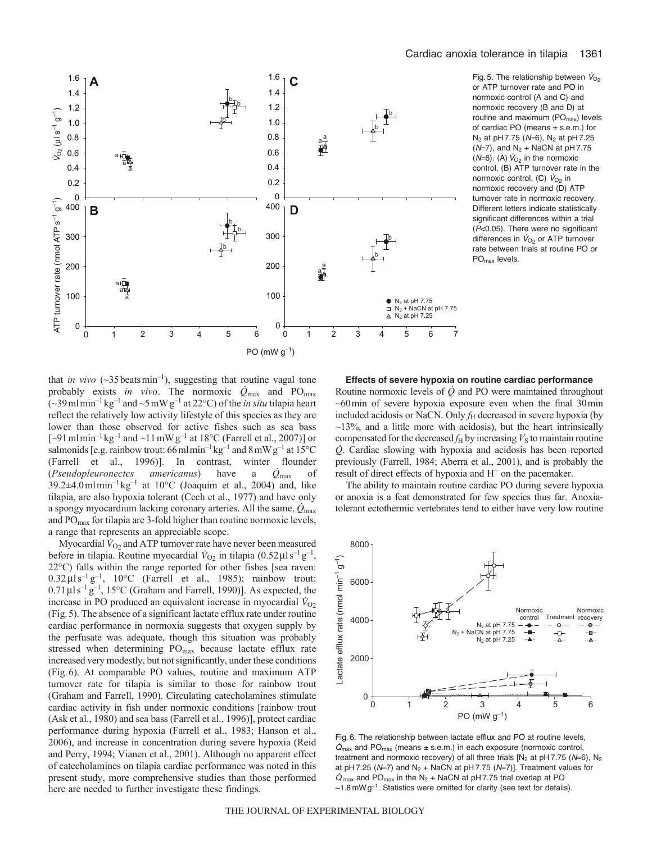

Fig. 5. The relationship between  $V_{O2}$ or ATP turnover rate and PO in normoxic control (A and C) and normoxic recovery (B and D) at routine and maximum (PO<sub>max</sub>) levels of cardiac PO (means ± s.e.m.) for N<sub>2</sub> at pH 7.75 ( $N=6$ ), N<sub>2</sub> at pH 7.25  $(N=7)$ , and N<sub>2</sub> + NaCN at pH 7.75 ( $N=6$ ). (A)  $\dot{V}_{O_2}$  in the normoxic control, (B) ATP turnover rate in the normoxic control, (C)  $V_{O<sub>2</sub>}$  in normoxic recovery and (D) ATP turnover rate in normoxic recovery. Different letters indicate statistically significant differences within a trial (*P*<0.05). There were no significant differences in  $V_{O_2}$  or ATP turnover rate between trials at routine PO or PO<sub>max</sub> levels.

that *in vivo*  $(\sim 35 \text{ beats min}^{-1})$ , suggesting that routine vagal tone probably exists *in vivo*. The normoxic *Q*max and POmax  $(-39 \text{ m1} \text{ min}^{-1} \text{ kg}^{-1}$  and  $\sim$ 5 mW g<sup>-1</sup> at 22°C) of the *in situ* tilapia heart reflect the relatively low activity lifestyle of this species as they are lower than those observed for active fishes such as sea bass [ $\sim$ 91 ml min<sup>-1</sup> kg<sup>-1</sup> and  $\sim$ 11 mW g<sup>-1</sup> at 18°C (Farrell et al., 2007)] or salmonids [e.g. rainbow trout: 66 ml min<sup>-1</sup> kg<sup>-1</sup> and  $8 \text{ mW g}^{-1}$  at 15°C (Farrell et al., 1996)]. In contrast, winter flounder (*Pseudopleuronectes americanus*) have a *Q*max of  $39.2\pm4.0$ mlmin<sup>-1</sup> kg<sup>-1</sup> at 10°C (Joaquim et al., 2004) and, like tilapia, are also hypoxia tolerant (Cech et al., 1977) and have only a spongy myocardium lacking coronary arteries. All the same, *Q*max and PO<sub>max</sub> for tilapia are 3-fold higher than routine normoxic levels, a range that represents an appreciable scope.

Myocardial  $\dot{V}_{\text{O2}}$  and ATP turnover rate have never been measured before in tilapia. Routine myocardial  $V_{O_2}$  in tilapia (0.52 $\mu$ ls<sup>-1</sup> g<sup>-1</sup>, 22°C) falls within the range reported for other fishes [sea raven:  $0.32 \,\mu\text{J s}^{-1}\text{g}^{-1}$ , 10°C (Farrell et al., 1985); rainbow trout:  $0.71 \,\mu$ ls<sup>-1</sup>g<sup>-1</sup>, 15°C (Graham and Farrell, 1990)]. As expected, the increase in PO produced an equivalent increase in myocardial  $\dot{V}_{O2}$ (Fig.5). The absence of a significant lactate efflux rate under routine cardiac performance in normoxia suggests that oxygen supply by the perfusate was adequate, though this situation was probably stressed when determining PO<sub>max</sub> because lactate efflux rate increased very modestly, but not significantly, under these conditions (Fig.6). At comparable PO values, routine and maximum ATP turnover rate for tilapia is similar to those for rainbow trout (Graham and Farrell, 1990). Circulating catecholamines stimulate cardiac activity in fish under normoxic conditions [rainbow trout (Ask et al., 1980) and sea bass (Farrell et al., 1996)], protect cardiac performance during hypoxia (Farrell et al., 1983; Hanson et al., 2006), and increase in concentration during severe hypoxia (Reid and Perry, 1994; Vianen et al., 2001). Although no apparent effect of catecholamines on tilapia cardiac performance was noted in this present study, more comprehensive studies than those performed here are needed to further investigate these findings.

**Effects of severe hypoxia on routine cardiac performance** Routine normoxic levels of *Q* and PO were maintained throughout  $~60$  min of severe hypoxia exposure even when the final 30 min included acidosis or NaCN. Only  $f<sub>H</sub>$  decreased in severe hypoxia (by  $\sim$ 13%, and a little more with acidosis), but the heart intrinsically compensated for the decreased  $f_H$  by increasing  $V_S$  to maintain routine *Q*. Cardiac slowing with hypoxia and acidosis has been reported previously (Farrell, 1984; Aberra et al., 2001), and is probably the result of direct effects of hypoxia and  $H<sup>+</sup>$  on the pacemaker.

The ability to maintain routine cardiac PO during severe hypoxia or anoxia is a feat demonstrated for few species thus far. Anoxiatolerant ectothermic vertebrates tend to either have very low routine



Fig. 6. The relationship between lactate efflux and PO at routine levels,  $\dot{Q}_{\text{max}}$  and PO<sub>max</sub> (means  $\pm$  s.e.m.) in each exposure (normoxic control, treatment and normoxic recovery) of all three trials  $[N_2$  at  $pH 7.75$  ( $N=6$ ),  $N_2$ at pH 7.25 ( $N=7$ ) and  $N_2$  + NaCN at pH 7.75 ( $N=7$ )]. Treatment values for  $\dot{Q}_{\text{max}}$  and PO<sub>max</sub> in the N<sub>2</sub> + NaCN at pH 7.75 trial overlap at PO  $\sim$ 1.8 mW g<sup>-1</sup>. Statistics were omitted for clarity (see text for details).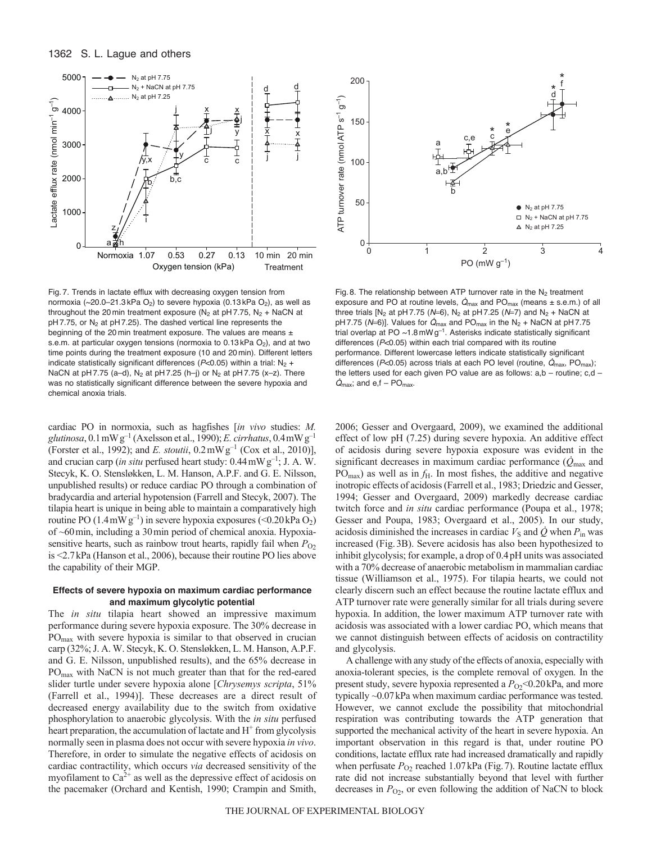



Fig. 7. Trends in lactate efflux with decreasing oxygen tension from normoxia ( $\approx$ 20.0–21.3 kPa O<sub>2</sub>) to severe hypoxia (0.13 kPa O<sub>2</sub>), as well as throughout the 20 min treatment exposure ( $N_2$  at pH 7.75,  $N_2$  + NaCN at  $pH$  7.75, or  $N_2$  at  $pH$  7.25). The dashed vertical line represents the beginning of the 20 min treatment exposure. The values are means ± s.e.m. at particular oxygen tensions (normoxia to  $0.13$  kPa  $O<sub>2</sub>$ ), and at two time points during the treatment exposure (10 and 20 min). Different letters indicate statistically significant differences ( $P$ <0.05) within a trial:  $N_2$  + NaCN at pH 7.75 (a–d),  $N_2$  at pH 7.25 (h–j) or  $N_2$  at pH 7.75 (x–z). There was no statistically significant difference between the severe hypoxia and chemical anoxia trials.

cardiac PO in normoxia, such as hagfishes [*in vivo* studies: *M.*  $glutinosa$ ,  $0.1 \text{ mW g}^{-1}$  (Axelsson et al., 1990); *E. cirrhatus*,  $0.4 \text{ mW g}^{-1}$ (Forster et al., 1992); and *E. stoutii*, 0.2mWg–1 (Cox et al., 2010)], and crucian carp (*in situ* perfused heart study:  $0.44 \text{ mW g}^{-1}$ ; J. A. W. Stecyk, K. O. Stensløkken, L. M. Hanson, A.P.F. and G. E. Nilsson, unpublished results) or reduce cardiac PO through a combination of bradycardia and arterial hypotension (Farrell and Stecyk, 2007). The tilapia heart is unique in being able to maintain a comparatively high routine PO  $(1.4 \text{ mW g}^{-1})$  in severe hypoxia exposures (<0.20 kPa  $O_2$ ) of ~60min, including a 30min period of chemical anoxia. Hypoxiasensitive hearts, such as rainbow trout hearts, rapidly fail when  $P_{O2}$ is <2.7kPa (Hanson et al., 2006), because their routine PO lies above the capability of their MGP.

## **Effects of severe hypoxia on maximum cardiac performance and maximum glycolytic potential**

The *in situ* tilapia heart showed an impressive maximum performance during severe hypoxia exposure. The 30% decrease in POmax with severe hypoxia is similar to that observed in crucian carp (32%; J. A. W. Stecyk, K. O. Stensløkken, L. M. Hanson, A.P.F. and G. E. Nilsson, unpublished results), and the 65% decrease in POmax with NaCN is not much greater than that for the red-eared slider turtle under severe hypoxia alone [*Chrysemys scripta*, 51% (Farrell et al., 1994)]. These decreases are a direct result of decreased energy availability due to the switch from oxidative phosphorylation to anaerobic glycolysis. With the *in situ* perfused heart preparation, the accumulation of lactate and  $H^+$  from glycolysis normally seen in plasma does not occur with severe hypoxia *in vivo*. Therefore, in order to simulate the negative effects of acidosis on cardiac contractility, which occurs *via* decreased sensitivity of the myofilament to  $Ca^{2+}$  as well as the depressive effect of acidosis on the pacemaker (Orchard and Kentish, 1990; Crampin and Smith,



Fig. 8. The relationship between ATP turnover rate in the  $N_2$  treatment exposure and PO at routine levels,  $\dot{Q}_{\text{max}}$  and PO<sub>max</sub> (means  $\pm$  s.e.m.) of all three trials  $[N_2 \text{ at } pH 7.75 (N=6), N_2 \text{ at } pH 7.25 (N=7) \text{ and } N_2 + \text{NaCN at}$ pH 7.75 ( $N=6$ )]. Values for  $\dot{Q}_{\text{max}}$  and PO<sub>max</sub> in the N<sub>2</sub> + NaCN at pH 7.75 trial overlap at PO  $\sim$ 1.8 mW g<sup>-1</sup>. Asterisks indicate statistically significant differences (*P*<0.05) within each trial compared with its routine performance. Different lowercase letters indicate statistically significant differences (*P*<0.05) across trials at each PO level (routine,  $\dot{Q}_{\text{max}}$ , PO<sub>max</sub>); the letters used for each given PO value are as follows:  $a,b$  – routine;  $c,d$  –  $\dot{Q}_{\text{max}}$ ; and e, f – PO<sub>max</sub>.

2006; Gesser and Overgaard, 2009), we examined the additional effect of low pH (7.25) during severe hypoxia. An additive effect of acidosis during severe hypoxia exposure was evident in the significant decreases in maximum cardiac performance (*Q*max and  $PO<sub>max</sub>$ ) as well as in  $f<sub>H</sub>$ . In most fishes, the additive and negative inotropic effects of acidosis (Farrell et al., 1983; Driedzic and Gesser, 1994; Gesser and Overgaard, 2009) markedly decrease cardiac twitch force and *in situ* cardiac performance (Poupa et al., 1978; Gesser and Poupa, 1983; Overgaard et al., 2005). In our study, acidosis diminished the increases in cardiac  $V<sub>S</sub>$  and  $\dot{Q}$  when  $P<sub>in</sub>$  was increased (Fig.3B). Severe acidosis has also been hypothesized to inhibit glycolysis; for example, a drop of 0.4pH units was associated with a 70% decrease of anaerobic metabolism in mammalian cardiac tissue (Williamson et al., 1975). For tilapia hearts, we could not clearly discern such an effect because the routine lactate efflux and ATP turnover rate were generally similar for all trials during severe hypoxia. In addition, the lower maximum ATP turnover rate with acidosis was associated with a lower cardiac PO, which means that we cannot distinguish between effects of acidosis on contractility and glycolysis.

A challenge with any study of the effects of anoxia, especially with anoxia-tolerant species, is the complete removal of oxygen. In the present study, severe hypoxia represented a  $P_{O2}$  < 0.20 kPa, and more typically ~0.07kPa when maximum cardiac performance was tested. However, we cannot exclude the possibility that mitochondrial respiration was contributing towards the ATP generation that supported the mechanical activity of the heart in severe hypoxia. An important observation in this regard is that, under routine PO conditions, lactate efflux rate had increased dramatically and rapidly when perfusate  $P_{O2}$  reached 1.07kPa (Fig. 7). Routine lactate efflux rate did not increase substantially beyond that level with further decreases in  $P<sub>O2</sub>$ , or even following the addition of NaCN to block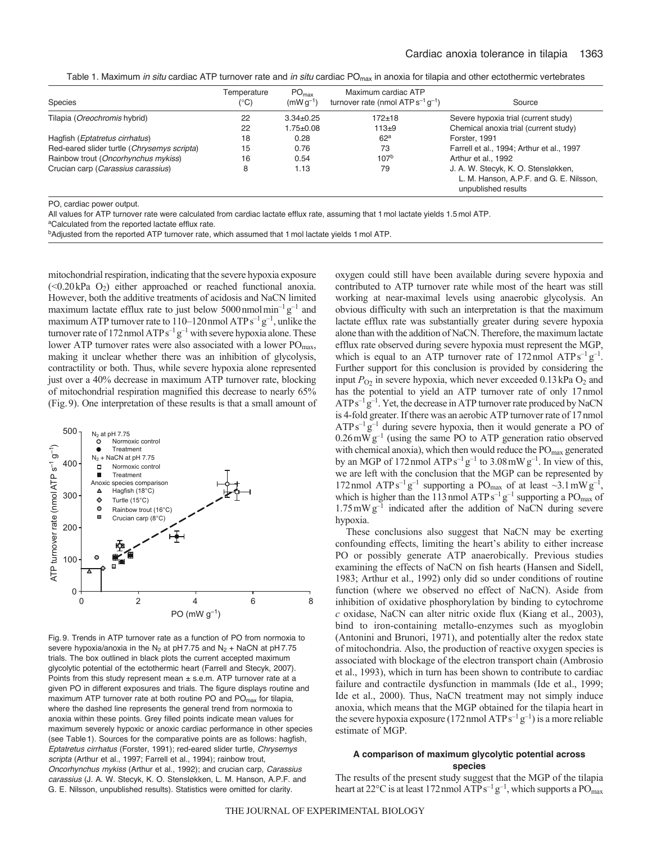Table 1. Maximum *in situ* cardiac ATP turnover rate and *in situ* cardiac POmax in anoxia for tilapia and other ectothermic vertebrates

| Species                                     | Temperature<br>$(^{\circ}C)$ | PO <sub>max</sub><br>$(mWq^{-1})$ | Maximum cardiac ATP<br>turnover rate (nmol $ATP s^{-1} q^{-1}$ ) | Source                                                                                                |
|---------------------------------------------|------------------------------|-----------------------------------|------------------------------------------------------------------|-------------------------------------------------------------------------------------------------------|
| Tilapia ( <i>Oreochromis</i> hybrid)        | 22                           | $3.34 + 0.25$                     | $172 + 18$                                                       | Severe hypoxia trial (current study)                                                                  |
|                                             | 22                           | $1.75 + 0.08$                     | $113+9$                                                          | Chemical anoxia trial (current study)                                                                 |
| Hagfish ( <i>Eptatretus cirrhatus</i> )     | 18                           | 0.28                              | 62 <sup>a</sup>                                                  | Forster, 1991                                                                                         |
| Red-eared slider turtle (Chrysemys scripta) | 15                           | 0.76                              | 73                                                               | Farrell et al., 1994; Arthur et al., 1997                                                             |
| Rainbow trout (Oncorhynchus mykiss)         | 16                           | 0.54                              | 107 <sup>b</sup>                                                 | Arthur et al., 1992                                                                                   |
| Crucian carp (Carassius carassius)          | 8                            | 1.13                              | 79                                                               | J. A. W. Stecyk, K. O. Stensløkken,<br>L. M. Hanson, A.P.F. and G. E. Nilsson,<br>unpublished results |

PO, cardiac power output.

All values for ATP turnover rate were calculated from cardiac lactate efflux rate, assuming that 1 mol lactate yields 1.5 mol ATP.

<sup>a</sup>Calculated from the reported lactate efflux rate.

bAdjusted from the reported ATP turnover rate, which assumed that 1 mol lactate yields 1 mol ATP.

mitochondrial respiration, indicating that the severe hypoxia exposure  $(\leq 0.20 \text{ kPa} \space \text{O})$  either approached or reached functional anoxia. However, both the additive treatments of acidosis and NaCN limited maximum lactate efflux rate to just below 5000 nmolmin<sup>-1</sup>  $g^{-1}$  and maximum ATP turnover rate to  $110-120$  nmol ATP  $s^{-1}g^{-1}$ , unlike the turnover rate of 172 nmol  $ATP s^{-1} g^{-1}$  with severe hypoxia alone. These lower ATP turnover rates were also associated with a lower PO<sub>max</sub>, making it unclear whether there was an inhibition of glycolysis, contractility or both. Thus, while severe hypoxia alone represented just over a 40% decrease in maximum ATP turnover rate, blocking of mitochondrial respiration magnified this decrease to nearly 65% (Fig.9). One interpretation of these results is that a small amount of



Fig. 9. Trends in ATP turnover rate as a function of PO from normoxia to severe hypoxia/anoxia in the N<sub>2</sub> at pH 7.75 and N<sub>2</sub> + NaCN at pH 7.75 trials. The box outlined in black plots the current accepted maximum glycolytic potential of the ectothermic heart (Farrell and Stecyk, 2007). Points from this study represent mean  $\pm$  s.e.m. ATP turnover rate at a given PO in different exposures and trials. The figure displays routine and maximum ATP turnover rate at both routine PO and  $PO<sub>max</sub>$  for tilapia, where the dashed line represents the general trend from normoxia to anoxia within these points. Grey filled points indicate mean values for maximum severely hypoxic or anoxic cardiac performance in other species (see Table 1). Sources for the comparative points are as follows: hagfish, *Eptatretus cirrhatus* (Forster, 1991); red-eared slider turtle, *Chrysemys scripta* (Arthur et al., 1997; Farrell et al., 1994); rainbow trout, *Oncorhynchus mykiss* (Arthur et al., 1992); and crucian carp, *Carassius carassius* (J. A. W. Stecyk, K. O. Stensløkken, L. M. Hanson, A.P.F. and G. E. Nilsson, unpublished results). Statistics were omitted for clarity.

oxygen could still have been available during severe hypoxia and contributed to ATP turnover rate while most of the heart was still working at near-maximal levels using anaerobic glycolysis. An obvious difficulty with such an interpretation is that the maximum lactate efflux rate was substantially greater during severe hypoxia alone than with the addition of NaCN. Therefore, the maximum lactate efflux rate observed during severe hypoxia must represent the MGP, which is equal to an ATP turnover rate of 172 nmol  $ATPs^{-1}g^{-1}$ . Further support for this conclusion is provided by considering the input  $P_{O_2}$  in severe hypoxia, which never exceeded 0.13 kPa  $O_2$  and has the potential to yield an ATP turnover rate of only 17nmol  $ATP s^{-1} g^{-1}$ . Yet, the decrease in ATP turnover rate produced by NaCN is 4-fold greater. If there was an aerobic ATP turnover rate of 17 nmol  $ATPs^{-1}g^{-1}$  during severe hypoxia, then it would generate a PO of  $0.26$  mW  $g^{-1}$  (using the same PO to ATP generation ratio observed with chemical anoxia), which then would reduce the PO<sub>max</sub> generated by an MGP of 172 nmol  $ATPs^{-1}g^{-1}$  to 3.08 mW  $g^{-1}$ . In view of this, we are left with the conclusion that the MGP can be represented by 172 nmol ATP s<sup>-1</sup> g<sup>-1</sup> supporting a PO<sub>max</sub> of at least  $\sim$ 3.1 mW g<sup>-1</sup>, which is higher than the 113 nmol  $ATPs^{-1}g^{-1}$  supporting a  $PO_{max}$  of  $1.75 \text{ mW g}^{-1}$  indicated after the addition of NaCN during severe hypoxia.

These conclusions also suggest that NaCN may be exerting confounding effects, limiting the heart's ability to either increase PO or possibly generate ATP anaerobically. Previous studies examining the effects of NaCN on fish hearts (Hansen and Sidell, 1983; Arthur et al., 1992) only did so under conditions of routine function (where we observed no effect of NaCN). Aside from inhibition of oxidative phosphorylation by binding to cytochrome *c* oxidase, NaCN can alter nitric oxide flux (Kiang et al., 2003), bind to iron-containing metallo-enzymes such as myoglobin (Antonini and Brunori, 1971), and potentially alter the redox state of mitochondria. Also, the production of reactive oxygen species is associated with blockage of the electron transport chain (Ambrosio et al., 1993), which in turn has been shown to contribute to cardiac failure and contractile dysfunction in mammals (Ide et al., 1999; Ide et al., 2000). Thus, NaCN treatment may not simply induce anoxia, which means that the MGP obtained for the tilapia heart in the severe hypoxia exposure (172 nmol  $ATPs^{-1}g^{-1}$ ) is a more reliable estimate of MGP.

## **A comparison of maximum glycolytic potential across species**

The results of the present study suggest that the MGP of the tilapia heart at 22°C is at least 172 nmol  $ATP s^{-1} g^{-1}$ , which supports a  $PO<sub>max</sub>$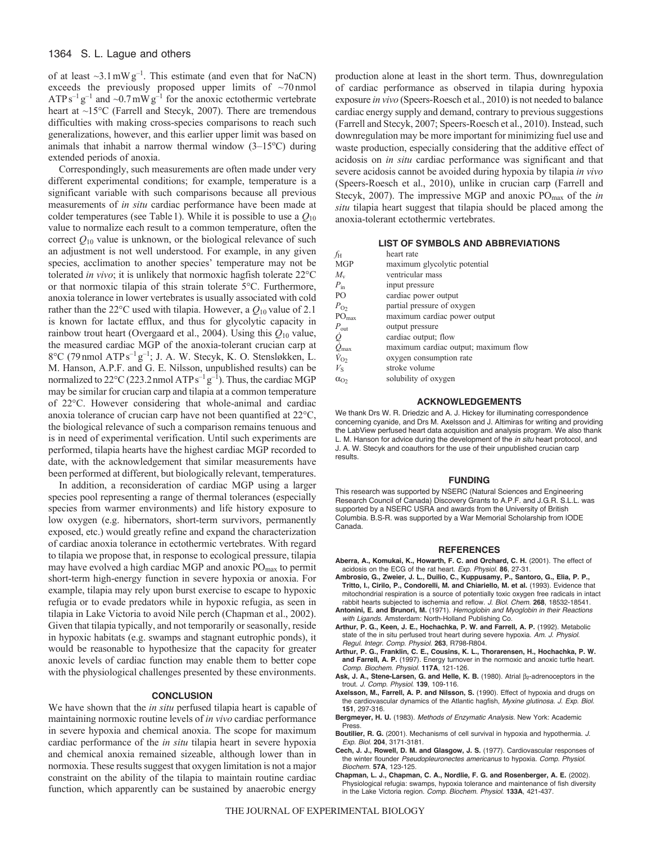of at least  $\sim$ 3.1 mW g<sup>-1</sup>. This estimate (and even that for NaCN) exceeds the previously proposed upper limits of ~70 nmol ATP s<sup>-1</sup> g<sup>-1</sup> and ~0.7 mW g<sup>-1</sup> for the anoxic ectothermic vertebrate heart at ~15°C (Farrell and Stecyk, 2007). There are tremendous difficulties with making cross-species comparisons to reach such generalizations, however, and this earlier upper limit was based on animals that inhabit a narrow thermal window  $(3-15^{\circ}\text{C})$  during extended periods of anoxia.

Correspondingly, such measurements are often made under very different experimental conditions; for example, temperature is a significant variable with such comparisons because all previous measurements of *in situ* cardiac performance have been made at colder temperatures (see Table 1). While it is possible to use a  $Q_{10}$ value to normalize each result to a common temperature, often the correct  $Q_{10}$  value is unknown, or the biological relevance of such an adjustment is not well understood. For example, in any given species, acclimation to another species' temperature may not be tolerated *in vivo*; it is unlikely that normoxic hagfish tolerate 22°C or that normoxic tilapia of this strain tolerate 5°C. Furthermore, anoxia tolerance in lower vertebrates is usually associated with cold rather than the 22 $\degree$ C used with tilapia. However, a  $Q_{10}$  value of 2.1 is known for lactate efflux, and thus for glycolytic capacity in rainbow trout heart (Overgaard et al., 2004). Using this *Q*<sup>10</sup> value, the measured cardiac MGP of the anoxia-tolerant crucian carp at 8 $^{\circ}$ C (79 nmol ATP s<sup>-1</sup> g<sup>-1</sup>; J. A. W. Stecyk, K. O. Stensløkken, L. M. Hanson, A.P.F. and G. E. Nilsson, unpublished results) can be normalized to  $22^{\circ}$ C (223.2 nmol ATP s<sup>-1</sup> g<sup>-1</sup>). Thus, the cardiac MGP may be similar for crucian carp and tilapia at a common temperature of 22°C. However considering that whole-animal and cardiac anoxia tolerance of crucian carp have not been quantified at 22°C, the biological relevance of such a comparison remains tenuous and is in need of experimental verification. Until such experiments are performed, tilapia hearts have the highest cardiac MGP recorded to date, with the acknowledgement that similar measurements have been performed at different, but biologically relevant, temperatures.

In addition, a reconsideration of cardiac MGP using a larger species pool representing a range of thermal tolerances (especially species from warmer environments) and life history exposure to low oxygen (e.g. hibernators, short-term survivors, permanently exposed, etc.) would greatly refine and expand the characterization of cardiac anoxia tolerance in ectothermic vertebrates. With regard to tilapia we propose that, in response to ecological pressure, tilapia may have evolved a high cardiac MGP and anoxic PO<sub>max</sub> to permit short-term high-energy function in severe hypoxia or anoxia. For example, tilapia may rely upon burst exercise to escape to hypoxic refugia or to evade predators while in hypoxic refugia, as seen in tilapia in Lake Victoria to avoid Nile perch (Chapman et al., 2002). Given that tilapia typically, and not temporarily or seasonally, reside in hypoxic habitats (e.g. swamps and stagnant eutrophic ponds), it would be reasonable to hypothesize that the capacity for greater anoxic levels of cardiac function may enable them to better cope with the physiological challenges presented by these environments.

## **CONCLUSION**

We have shown that the *in situ* perfused tilapia heart is capable of maintaining normoxic routine levels of *in vivo* cardiac performance in severe hypoxia and chemical anoxia. The scope for maximum cardiac performance of the *in situ* tilapia heart in severe hypoxia and chemical anoxia remained sizeable, although lower than in normoxia. These results suggest that oxygen limitation is not a major constraint on the ability of the tilapia to maintain routine cardiac function, which apparently can be sustained by anaerobic energy

production alone at least in the short term. Thus, downregulation of cardiac performance as observed in tilapia during hypoxia exposure *in vivo* (Speers-Roesch et al., 2010) is not needed to balance cardiac energy supply and demand, contrary to previous suggestions (Farrell and Stecyk, 2007; Speers-Roesch et al., 2010). Instead, such downregulation may be more important for minimizing fuel use and waste production, especially considering that the additive effect of acidosis on *in situ* cardiac performance was significant and that severe acidosis cannot be avoided during hypoxia by tilapia *in vivo* (Speers-Roesch et al., 2010), unlike in crucian carp (Farrell and Stecyk, 2007). The impressive MGP and anoxic PO<sub>max</sub> of the *in situ* tilapia heart suggest that tilapia should be placed among the anoxia-tolerant ectothermic vertebrates.

#### **LIST OF SYMBOLS AND ABBREVIATIONS**

| heart rate                           |
|--------------------------------------|
| maximum glycolytic potential         |
| ventricular mass                     |
| input pressure                       |
| cardiac power output                 |
| partial pressure of oxygen           |
| maximum cardiac power output         |
| output pressure                      |
| cardiac output; flow                 |
| maximum cardiac output; maximum flow |
| oxygen consumption rate              |
| stroke volume                        |
| solubility of oxygen                 |
|                                      |

## **ACKNOWLEDGEMENTS**

We thank Drs W. R. Driedzic and A. J. Hickey for illuminating correspondence concerning cyanide, and Drs M. Axelsson and J. Altimiras for writing and providing the LabView perfused heart data acquisition and analysis program. We also thank L. M. Hanson for advice during the development of the *in situ* heart protocol, and J. A. W. Stecyk and coauthors for the use of their unpublished crucian carp results.

#### **FUNDING**

This research was supported by NSERC (Natural Sciences and Engineering Research Council of Canada) Discovery Grants to A.P.F. and J.G.R. S.L.L. was supported by a NSERC USRA and awards from the University of British Columbia. B.S-R. was supported by a War Memorial Scholarship from IODE Canada.

#### **REFERENCES**

- **Aberra, A., Komukai, K., Howarth, F. C. and Orchard, C. H.** (2001). The effect of acidosis on the ECG of the rat heart. *Exp*. *Physiol*. **86**, 27-31.
- **Ambrosio, G., Zweier, J. L., Duilio, C., Kuppusamy, P., Santoro, G., Elia, P. P., Tritto, I., Cirilo, P., Condorelli, M. and Chiariello, M. et al.** (1993). Evidence that mitochondrial respiration is a source of potentially toxic oxygen free radicals in intact rabbit hearts subjected to ischemia and reflow. *J. Biol*. *Chem*. **268**, 18532-18541.
- **Antonini, E. and Brunori, M.** (1971). *Hemoglobin and Myoglobin in their Reactions with Ligands*. Amsterdam: North-Holland Publishing Co. **Arthur, P. G., Keen, J. E., Hochachka, P. W. and Farrell, A. P.** (1992). Metabolic
- state of the in situ perfused trout heart during severe hypoxia. *Am. J. Physiol*. *Regul. Integr. Comp. Physiol*. **263**, R798-R804.
- **Arthur, P. G., Franklin, C. E., Cousins, K. L., Thorarensen, H., Hochachka, P. W. and Farrell, A. P.** (1997). Energy turnover in the normoxic and anoxic turtle heart. *Comp. Biochem. Physiol.* **117A**, 121-126.
- Ask, J. A., Stene-Larsen, G. and Helle, K. B. (1980). Atrial  $\beta_2$ -adrenoceptors in the trout. *J. Comp. Physiol*. **139**, 109-116.
- **Axelsson, M., Farrell, A. P. and Nilsson, S.** (1990). Effect of hypoxia and drugs on the cardiovascular dynamics of the Atlantic hagfish, *Myxine glutinosa*. *J. Exp. Biol.* **151**, 297-316.
- **Bergmeyer, H. U.** (1983). *Methods of Enzymatic Analysis.* New York: Academic Press.
- **Boutilier, R. G.** (2001). Mechanisms of cell survival in hypoxia and hypothermia. *J. Exp. Biol.* **204**, 3171-3181.
- **Cech, J. J., Rowell, D. M. and Glasgow, J. S.** (1977). Cardiovascular responses of the winter flounder *Pseudopleuronectes americanus* to hypoxia. *Comp*. *Physiol*. *Biochem*. **57A**, 123-125.
- **Chapman, L. J., Chapman, C. A., Nordlie, F. G. and Rosenberger, A. E.** (2002). Physiological refugia: swamps, hypoxia tolerance and maintenance of fish diversity in the Lake Victoria region. *Comp. Biochem. Physiol*. **133A**, 421-437.